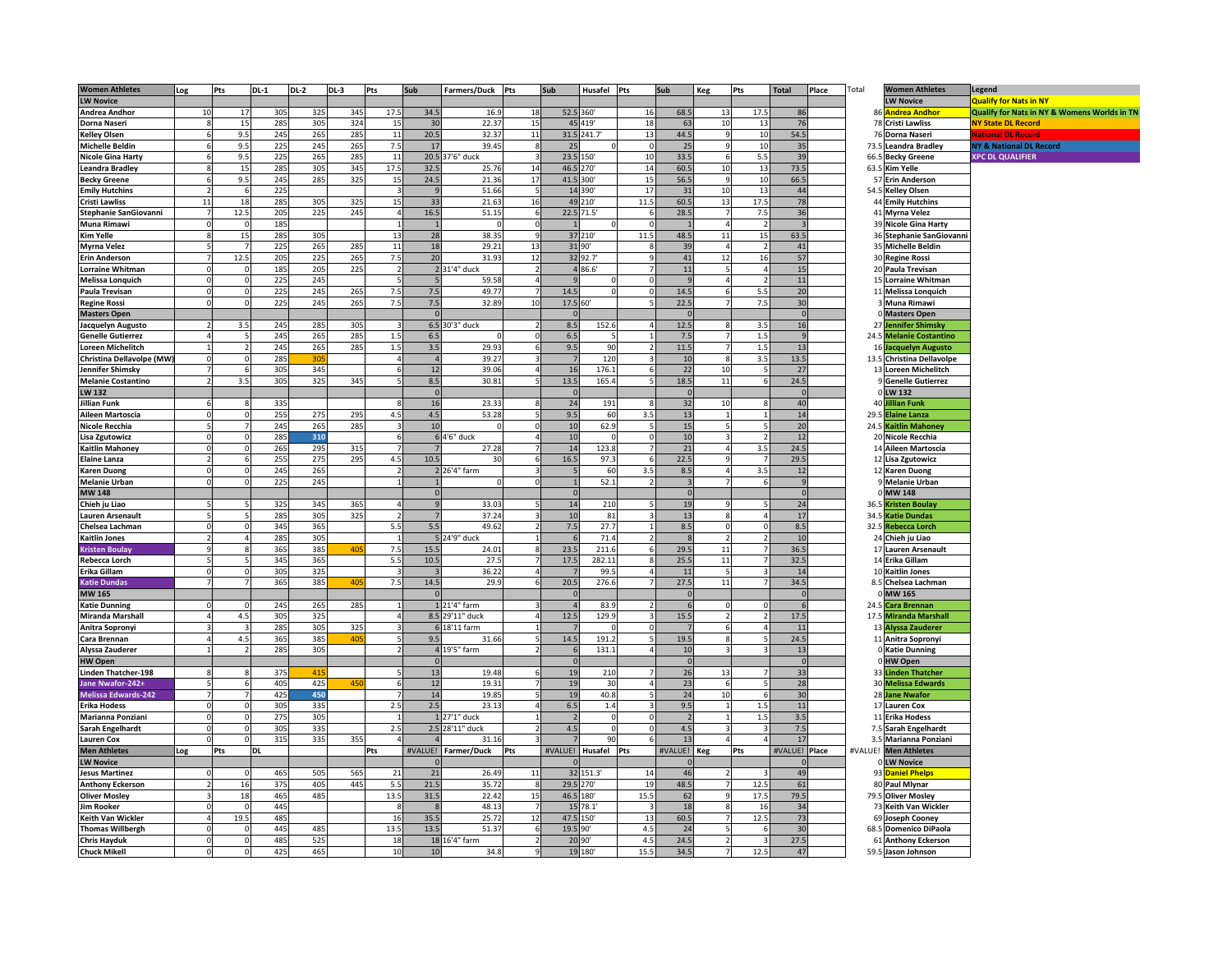| <b>Women Athletes</b>      | Log | Pts  | <b>DL-1</b> | <b>DL-2</b> | <b>DL-3</b> | Pts            | Sub            | Farmers/Duck Pts |                          | Sub            | Husafel Pts |                | Sub            | Keg            | Pts            | <b>Total</b>  | Place | Total   |                        | <b>Women Athletes</b>     | Legend                                       |
|----------------------------|-----|------|-------------|-------------|-------------|----------------|----------------|------------------|--------------------------|----------------|-------------|----------------|----------------|----------------|----------------|---------------|-------|---------|------------------------|---------------------------|----------------------------------------------|
| <b>LW Novice</b>           |     |      |             |             |             |                |                |                  |                          |                |             |                |                |                |                |               |       |         |                        | <b>LW Novice</b>          | <b>Qualify for Nats in NY</b>                |
| <b>Andrea Andhor</b>       | 10  | 17   | 305         | 325         | 345         | 17.5           | 34.5           | 16.9             | 18                       |                | 52.5 360    | 16             | 68.5           | 13             | 17.5           | 86            |       |         |                        | <b>Andrea Andhor</b>      | Qualify for Nats in NY & Womens Worlds in TN |
| Dorna Naseri               |     | 1!   | 285         | 305         | 324         | 15             | 30             | 22.37            | 15                       |                | 45 419      | 18             | 63             | 10             | 13             | 76            |       |         | 75                     | <b>Cristi Lawliss</b>     | <b>NY State DL Record</b>                    |
| <b>Kelley Olsen</b>        |     | 9.5  | 245         | 265         | 285         | $11\,$         | 20.5           | 32.37            | 11                       |                | 31.5 241.7' | 13             | 44.5           |                | 10             | 54.5          |       |         | 7(                     | Dorna Naseri              | <b>Ational DL Record</b>                     |
| <b>Michelle Beldin</b>     |     | 9.5  | 225         | 245         | 265         | 7.5            | 17             | 39.45            |                          | 25             |             | $\Omega$       | 25             |                | 10             | 35            |       |         | 73.5                   | <b>Leandra Bradley</b>    | <b>NY &amp; National DL Record</b>           |
| <b>Nicole Gina Harty</b>   |     | 9.5  | 225         | 265         | 285         | 11             |                | 20.5 37'6" duck  |                          | 23.5           | 150         | 10             | 33.5           |                | 5.5            | 39            |       |         | 66.5                   | <b>Becky Greene</b>       | <b>XPC DL QUALIFIER</b>                      |
| <b>Leandra Bradley</b>     |     | 15   | 285         | 305         | 345         | 17.5           | 32.5           | 25.76            | 14                       |                | 46.5 270    | 14             | 60.5           | 10             | 13             | 73.5          |       |         | 63.5                   | Kim Yelle                 |                                              |
| <b>Becky Greene</b>        |     | 9.5  | 245         | 285         | 325         | 15             | 24.5           | 21.36            | 17                       |                | 41.5 300    | 15             | 56.5           | q              | 10             | 66.5          |       |         | 51                     | <b>Erin Anderson</b>      |                                              |
| <b>Emily Hutchins</b>      |     |      | 225         |             |             | $\overline{3}$ | $\epsilon$     | 51.66            | 5                        |                | 14 390      | 17             | 31             | 10             | 13             | 44            |       |         |                        | 54.5 Kelley Olsen         |                                              |
| <b>Cristi Lawliss</b>      | 11  | 18   | 285         | 305         | 325         | 15             | 33             | 21.63            | 16                       |                | 49 210      | 11.5           | 60.5           | 13             | 17.5           | 78            |       |         | $\Lambda$              | <b>Emily Hutchins</b>     |                                              |
| Stephanie SanGiovanni      |     | 12.5 | 205         | 225         | 245         | $\overline{4}$ | 16.5           | 51.15            |                          |                | 22.5 71.5   |                | 28.5           |                | 7.5            | 36            |       |         | $\mathbf{4}^{\prime}$  | <b>Myrna Velez</b>        |                                              |
| <b>Muna Rimawi</b>         |     |      | 185         |             |             | $\mathbf{1}$   |                |                  |                          |                |             | $\Omega$       |                |                |                |               |       |         | $\mathcal{R}^{\prime}$ | <b>Nicole Gina Harty</b>  |                                              |
| <b>Kim Yelle</b>           |     | 15   | 285         | 305         |             | 13             | 28             | 38.35            | c                        |                | 37 210      | 11.5           | 48.5           | 11             | 15             | 63.5          |       |         |                        | 36 Stephanie SanGiovanni  |                                              |
| <b>Myrna Velez</b>         |     |      | 225         | 265         | 285         | 11             | 18             | 29.21            | 13                       |                | 31 90'      | 8              | 39             | $\overline{a}$ |                | 41            |       |         |                        | 35 Michelle Beldin        |                                              |
| <b>Erin Anderson</b>       |     | 12.5 | 205         | 225         | 265         | 7.5            | 20             | 31.93            | 12                       |                | 32 92.7     | $\mathbf{q}$   | 41             | 12             | 16             | 57            |       |         |                        | 30 Regine Rossi           |                                              |
| <b>Lorraine Whitman</b>    |     |      | 185         | 205         | 225         | $\overline{2}$ |                | 2 31'4" duck     | $\overline{\phantom{a}}$ |                | 4 86.6'     | $\overline{7}$ | 11             |                |                | 15            |       |         |                        | 20 Paula Trevisan         |                                              |
| <b>Melissa Lonquich</b>    |     |      | 225         | 245         |             |                |                | 59.58            |                          |                |             | $\Omega$       |                |                |                | 11            |       |         | 1!                     | <b>Lorraine Whitman</b>   |                                              |
| Paula Trevisan             |     |      | 225         | 245         | 265         | 7.5            | 7.5            | 49.77            |                          | 14.5           |             | $\Omega$       | 14.5           |                | 5.5            | 20            |       |         | 1 <sup>1</sup>         | <b>Melissa Longuich</b>   |                                              |
| <b>Regine Rossi</b>        |     |      | 225         | 245         | 265         | 7.5            | 7.5            | 32.89            | 10                       | 17.5 60        |             |                | 22.5           |                | 7.5            | 30            |       |         |                        | <b>Muna Rimawi</b>        |                                              |
| <b>Masters Open</b>        |     |      |             |             |             |                | $\Omega$       |                  |                          |                |             |                |                |                |                | $\Omega$      |       |         |                        | <b>Masters Open</b>       |                                              |
| Jacquelyn Augusto          |     | 3.   | 245         | 285         | 30          | 3              |                | 6.5 30'3" duck   |                          | 8.5            | 152.        |                | 12.5           |                | 3.5            | 16            |       |         | 27                     | Jennifer Shimsky          |                                              |
| <b>Genelle Gutierrez</b>   |     |      | 245         | 265         | 285         | 1.5            | 6.5            |                  |                          | 6.5            |             | $\mathbf{1}$   | 7.5            |                | 1.5            | $\mathbf{c}$  |       |         |                        | 24.5 Melanie Costantino   |                                              |
| Loreen Michelitch          |     |      | 245         | 265         | 285         | 1.5            | 3.5            | 29.93            |                          | 9.5            | 90          | $\overline{2}$ | 11.5           |                | 1.5            | 13            |       |         | 16                     | <b>Jacquelyn Augusto</b>  |                                              |
| Christina Dellavolpe (MW)  |     |      | 285         | 31          |             | $\overline{a}$ | $\overline{4}$ | 39.27            |                          |                | 120         | 3              | 10             | -8             | 3.5            | 13.5          |       |         |                        | 13.5 Christina Dellavolpe |                                              |
| Jennifer Shimsky           |     |      | 305         | 345         |             | -6             | 12             | 39.06            |                          | 16             | 176.1       | 6              | 22             | 10             |                | 27            |       |         |                        | 13 Loreen Michelitch      |                                              |
| <b>Melanie Costantino</b>  |     | 3.5  | 305         | 325         | 345         |                | 8.5            | 30.81            |                          | 13.5           | 165.4       | 5              | 18.5           | 11             | 6              | 24.5          |       |         |                        | <b>Genelle Gutierrez</b>  |                                              |
| <b>LW 132</b>              |     |      |             |             |             |                | $\Omega$       |                  |                          |                |             |                |                |                |                | $\sqrt{ }$    |       |         |                        | <b>LW 132</b>             |                                              |
| Jillian Funk               |     |      | 335         |             |             |                | 16             | 23.33            |                          | 24             | 191         |                | 32             | 10             |                | 40            |       |         | 4(                     | illian Funl               |                                              |
| Aileen Martoscia           |     |      | 255         | 275         | 295         | 4.5            | 4.5            | 53.28            |                          | 9.5            | 60          | 3.5            | 13             |                |                | 14            |       |         | 29.5                   | <b>Elaine Lanza</b>       |                                              |
| Nicole Recchia             |     |      | 245         | 265         | 285         |                | 10             |                  |                          | 10             | 62.9        | 5              | 15             |                | 5              | 20            |       |         | 24.5                   | <b>Kaitlin Mahoney</b>    |                                              |
| Lisa Zgutowicz             |     |      | 285         | 310         |             | 6              |                | 6 4'6" duck      |                          | 10             | $\Omega$    | $\mathbf 0$    | 10             |                | $\overline{2}$ | 12            |       |         |                        | 20 Nicole Recchia         |                                              |
| <b>Kaitlin Mahoney</b>     |     |      | 265         | 295         | 315         |                |                | 27.28            |                          | 14             | 123.8       |                | 21             |                | 3.5            | 24.5          |       |         |                        | 14 Aileen Martoscia       |                                              |
| <b>Elaine Lanza</b>        |     |      | 255         | 275         | 295         | 4.5            | 10.5           | 30               |                          | 16.5           | 97.3        | 6              | 22.5           |                |                | 29.5          |       |         | -12                    | <b>Lisa Zgutowicz</b>     |                                              |
| <b>Karen Duong</b>         |     |      | 245         | 265         |             | $\overline{2}$ |                | 26'4" farm       |                          |                | 60          | 3.5            | 8.5            |                | 3.5            | 12            |       |         | $\overline{1}$         | <b>Karen Duong</b>        |                                              |
| <b>Melanie Urban</b>       |     |      | 225         | 245         |             |                |                |                  |                          |                | 52.1        |                |                |                |                |               |       |         |                        | <b>Melanie Urban</b>      |                                              |
| <b>MW 148</b>              |     |      |             |             |             |                |                |                  |                          |                |             |                | $\Omega$       |                |                | $\Omega$      |       |         |                        | <b>MW 148</b>             |                                              |
| Chieh ju Liao              |     |      | 325         | 345         | 365         | $\Delta$       |                | 33.03            |                          | 14             | 210         | -5             | 19             |                |                | 24            |       |         | 36.5                   | <b>Kristen Boulay</b>     |                                              |
| <b>Lauren Arsenault</b>    |     |      | 285         | 305         | 325         |                |                | 37.24            |                          | 10             | 81          |                | 13             |                |                | 17            |       |         |                        | 34.5 Katie Dundas         |                                              |
| Chelsea Lachman            |     |      | 345         | 365         |             | 5.5            | 5.5            | 49.62            |                          | 7.5            | 27.7        | $\mathbf{1}$   | 8.5            |                | $\Omega$       | 8.5           |       |         |                        | 32.5 Rebecca Lorch        |                                              |
| <b>Kaitlin Jones</b>       |     |      | 285         | 305         |             | 1              |                | 5 24'9" duck     |                          |                | 71.4        | $\overline{2}$ |                |                |                | 10            |       |         | 24                     | Chieh ju Liao             |                                              |
| <b>Kristen Boulay</b>      |     |      | 365         | 385         | 40          | 7.5            | 15.5           | 24.01            |                          | 23.5           | 211.6       | 6              | 29.5           | 11             |                | 36.5          |       |         | 17                     | Lauren Arsenault          |                                              |
| <b>Rebecca Lorch</b>       |     |      | 345         | 365         |             | 5.5            | 10.5           | 27.5             |                          | 17.5           | 282.11      | 8              | 25.5           | 11             |                | 32.5          |       |         | 14                     | Erika Gillam              |                                              |
| Erika Gillam               |     |      | 305         | 325         |             | 3              |                | 36.22            |                          |                | 99.         | $\Delta$       | 11             |                |                | 14            |       |         | 10                     | <b>Kaitlin Jones</b>      |                                              |
| <b>Katie Dundas</b>        |     |      | 365         | 385         | 40          | 7.5            | 14.5           | 29.9             |                          | 20.5           | 276.6       | $\overline{7}$ | 27.5           | 11             |                | 34.5          |       |         | 8.1                    | Chelsea Lachman           |                                              |
| <b>MW 165</b>              |     |      |             |             |             |                |                |                  |                          |                |             |                |                |                |                |               |       |         |                        | <b>MW 165</b>             |                                              |
| <b>Katie Dunning</b>       |     |      | 245         | 265         | 285         | 1              |                | 1 21'4" farm     |                          |                | 83.9        | $\overline{2}$ |                |                | $\Omega$       | $\epsilon$    |       |         | 24.5                   | <b>Cara Brennan</b>       |                                              |
| <b>Miranda Marshall</b>    |     | 4.5  | 305         | 325         |             |                |                | 8.5 29'11" duck  |                          | 12.5           | 129.9       | $\overline{3}$ | 15.5           |                |                | 17.5          |       |         | 17.5                   | <b>Miranda Marshall</b>   |                                              |
| Anitra Sopronyi            |     |      | 285         | 305         | 325         | $\mathbf{a}$   |                | 6 18'11 farm     |                          |                |             | $\Omega$       |                |                |                | 11            |       |         |                        | 13 Alyssa Zauderer        |                                              |
| Cara Brennan               |     | 4.5  | 365         | 385         | 40          | 5              | 9.5            | 31.66            |                          | 14.5           | 191.2       | 5              | 19.5           |                |                | 24.5          |       |         |                        | 11 Anitra Sopronyi        |                                              |
| <b>Alyssa Zauderer</b>     |     |      | 285         | 305         |             |                |                | 4 19'5" farm     |                          |                | 131.1       | $\Delta$       | 10             |                |                | 13            |       |         |                        | <b>Katie Dunning</b>      |                                              |
| <b>HW Open</b>             |     |      |             |             |             |                |                |                  |                          |                |             |                | $\Omega$       |                |                | $\sqrt{2}$    |       |         |                        | HW Open                   |                                              |
| Linden Thatcher-198        |     |      | 375         | 41          |             |                | 13             | 19.48            |                          | 1 <sup>6</sup> | 210         |                | 26             | 13             |                | 33            |       |         | 33                     | Linden Thatcher           |                                              |
| Jane Nwafor-242+           |     |      | 405         | 425         | 45          | 6              | 12             | 19.31            |                          | 19             | 30          |                | 23             |                |                | 28            |       |         |                        | 30 Melissa Edwards        |                                              |
| <b>Melissa Edwards-242</b> |     |      | 425         | 450         |             |                | 14             | 19.85            |                          | 19             | 40.8        | 5              | 24             | 10             | 6              | 30            |       |         |                        | 28 Jane Nwafor            |                                              |
| <b>Erika Hodess</b>        |     |      | 305         | 335         |             | 2.5            | 2.5            | 23.13            |                          | 6.5            | 1.4         | 3              | 9.5            |                | 1.5            | 11            |       |         | 17                     | <b>Lauren Cox</b>         |                                              |
| Marianna Ponziani          |     |      | 275         | 305         |             |                |                | 1 27'1" duck     |                          |                |             | $\Omega$       | $\overline{z}$ |                | 1.5            | 3.5           |       |         | 11                     | <b>Erika Hodess</b>       |                                              |
| Sarah Engelhardt           |     |      | 305         | 335         |             | 2.5            |                | 2.5 28'11" duck  |                          | 4.5            |             |                | 4.5            |                |                | 7.5           |       |         | 7.5                    | Sarah Engelhardt          |                                              |
| <b>Lauren Cox</b>          |     |      | 315         | 335         | 355         |                |                | 31.16            |                          |                | 90          |                | 13             |                |                | 17            |       |         | 3.5                    | Marianna Ponziani         |                                              |
| <b>Men Athletes</b>        | Log | Pts  | DL          |             |             | Pts            | VALUE!         | Farmer/Duck      | Pts                      | #VALUE!        | Husafel Pts |                | #VALUE!        | Keg            | Pts            | #VALUE! Place |       | #VALUE! |                        | <b>Men Athletes</b>       |                                              |
| <b>LW Novice</b>           |     |      |             |             |             |                |                |                  |                          |                |             |                |                |                |                |               |       |         |                        | <b>LW Novice</b>          |                                              |
| <b>Jesus Martinez</b>      |     |      | 465         | 505         | 565         | 21             | 21             | 26.49            | 11                       |                | 32 151.3'   | 14             | 46             |                |                | 49            |       |         |                        | 93 Daniel Phelps          |                                              |
| <b>Anthony Eckerson</b>    |     | 16   | 375         | 405         | 445         | 5.5            | 21.5           | 35.72            |                          |                | 29.5 270    | 19             | 48.5           |                | 12.5           | 61            |       |         |                        | 80 Paul Mlynar            |                                              |
| <b>Oliver Mosley</b>       |     | 18   | 465         | 485         |             | 13.5           | 31.5           | 22.42            | 15                       | 46.5           | 180'        | 15.5           | 62             |                | 17.5           | 79.5          |       |         | 79.5                   | <b>Oliver Mosley</b>      |                                              |
| Jim Rooker                 |     |      | 445         |             |             | $\mathbf{g}$   |                | 48.13            |                          | 15             | 78.1'       | $\mathbf{3}$   | 18             |                | 16             | 34            |       |         | 73                     | Keith Van Wickler         |                                              |
| <b>Keith Van Wickler</b>   |     | 19.5 | 485         |             |             | 16             | 35.5           | 25.72            | 12                       | 47.5           | 150'        | 13             | 60.5           |                | 12.5           | 73            |       |         | 69                     | <b>Joseph Coonev</b>      |                                              |
| <b>Thomas Willbergh</b>    |     |      | 445         | 485         |             | 13.5           | 13.5           | 51.37            | 6                        |                | 19.5 90'    | 4.5            | 24             |                |                | 30            |       |         | 68.5                   | <b>Domenico DiPaola</b>   |                                              |
| <b>Chris Hayduk</b>        |     |      | 485         | 525         |             | 18             |                | 18 16'4" farm    |                          |                | 20 90       | 4.5            | 24.5           |                |                | 27.5          |       |         | 61                     | <b>Anthony Eckerson</b>   |                                              |
| <b>Chuck Mikell</b>        |     |      | 425         | 465         |             | 10             | 10             | 34.8             |                          |                | 19 180      | 15.5           | 34.5           |                | 12.5           | 47            |       |         |                        | 59.5 Jason Johnson        |                                              |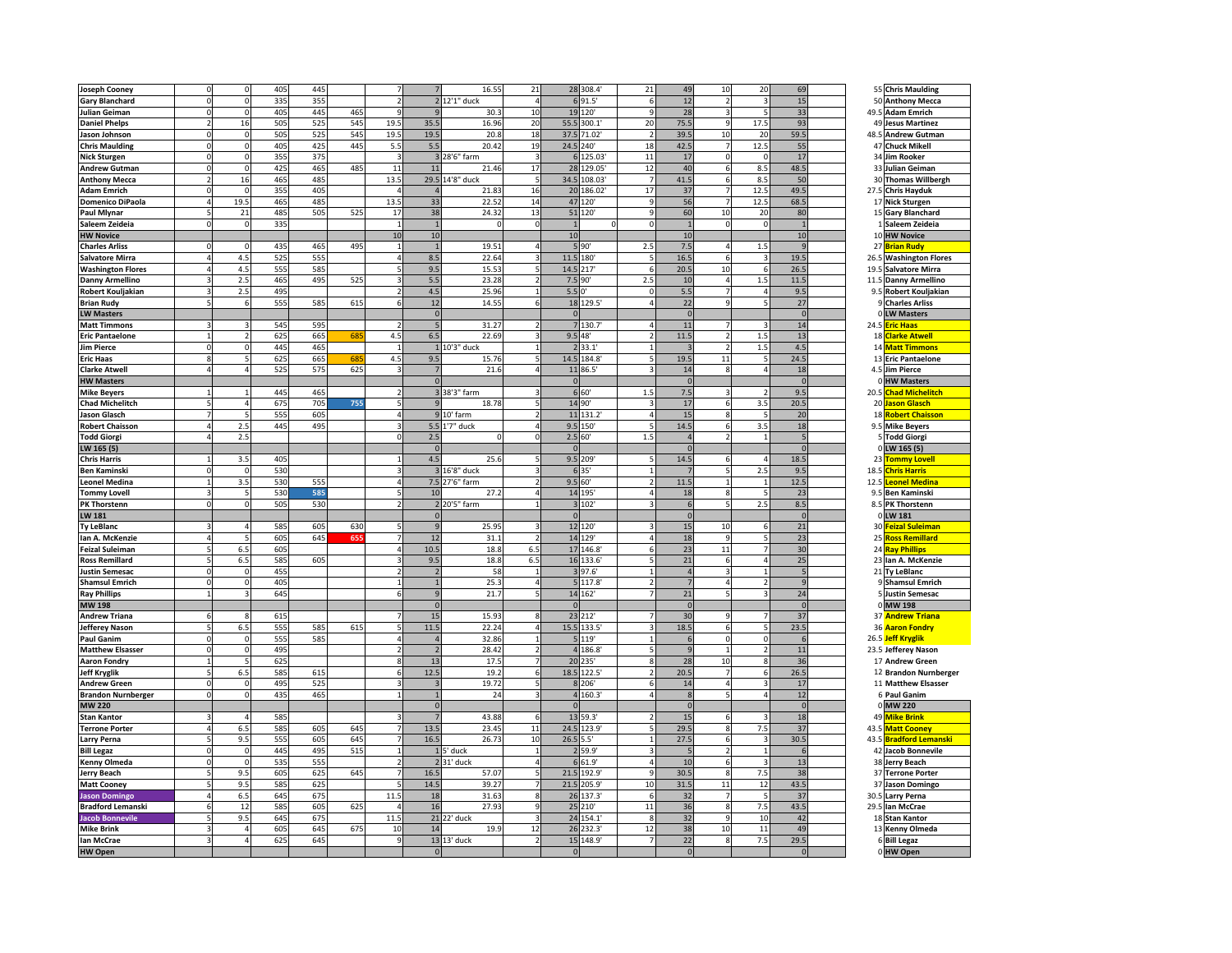| <b>Joseph Cooney</b>      |          | $\mathbf 0$    | 405 | 445 |     |                          |                | 16.55           | 21                     |              | 28 308.4    | 21                       | 49             | 10                      | 20                       | 69             |      | 55 Chris Maulding          |
|---------------------------|----------|----------------|-----|-----|-----|--------------------------|----------------|-----------------|------------------------|--------------|-------------|--------------------------|----------------|-------------------------|--------------------------|----------------|------|----------------------------|
|                           |          | $\Omega$       | 335 | 355 |     | $\overline{\phantom{a}}$ |                | 2 12'1" duck    | $\boldsymbol{\Lambda}$ |              | 6 9 1.5'    | 6                        | 12             | $\overline{z}$          |                          | 15             |      |                            |
| <b>Gary Blanchard</b>     |          |                |     |     |     |                          |                |                 |                        |              |             |                          |                |                         |                          |                |      | 50 Anthony Mecca           |
| Julian Geiman             |          | $\Omega$       | 405 | 445 | 465 |                          |                | 30.3            | 10                     | 19           | 120         | 9                        | 28             |                         |                          | 33             | 49.5 | <b>Adam Emrich</b>         |
| <b>Daniel Phelps</b>      |          | 16             | 505 | 525 | 545 | 19.5                     | 35.5           | 16.96           | 20                     | 55.5         | 300.1       | 20                       | 75.5           |                         | 17.5                     | 93             |      | 49 Jesus Martinez          |
| Jason Johnson             | $\Omega$ | $\Omega$       | 505 | 525 | 545 | 19.5                     | 19.5           | 20.8            | 18                     | 37.5         | 71.02       | $\overline{2}$           | 39.5           | 10                      | 20                       | 59.5           | 48.5 | <b>Andrew Gutman</b>       |
| <b>Chris Maulding</b>     | $\Omega$ | $\mathbf 0$    | 405 | 425 | 445 | 5.5                      | 5.5            | 20.42           | 19                     |              | 24.5 240    | 18                       | 42.5           | $7\phantom{.0}$         | 12.5                     | 55             |      | 47 Chuck Mikell            |
|                           |          |                |     |     |     |                          |                |                 | $\overline{3}$         |              |             |                          |                | $\Omega$                | $\sqrt{2}$               |                |      |                            |
| <b>Nick Sturgen</b>       |          | $\mathbf 0$    | 355 | 375 |     | $\overline{3}$           |                | 3 28'6" farm    |                        |              | 6 125.03    | 11                       | 17             |                         |                          | 17             |      | 34 Jim Rooker              |
| <b>Andrew Gutman</b>      |          | $\Omega$       | 425 | 465 | 485 | 11                       | 11             | 21.46           | 17                     |              | 28 129.05   | 12                       | 40             | 6                       | 8.5                      | 48.5           |      | 33 Julian Geiman           |
| <b>Anthony Mecca</b>      |          | 16             | 465 | 485 |     | 13.5                     |                | 29.5 14'8" duck |                        |              | 34.5 108.03 | $\overline{7}$           | 41.5           | 6                       | 8.5                      | 50             |      | 30 Thomas Willbergh        |
| <b>Adam Emrich</b>        |          | $\Omega$       | 355 | 405 |     |                          |                | 21.83           | 16                     |              | 20 186.02   | 17                       | 37             |                         | 12.5                     | 49.5           | 27.5 | <b>Chris Hayduk</b>        |
| <b>Domenico DiPaola</b>   |          | 19.5           | 465 | 485 |     | 13.5                     | 33             | 22.5            | 14                     |              | 47 120      | $\overline{9}$           | 56             |                         | 12.5                     | 68.5           |      | 17 Nick Sturgen            |
|                           |          |                | 485 | 505 |     |                          | 38             |                 |                        |              | 51 120      |                          | 60             | 10                      |                          |                |      |                            |
| <b>Paul Mlynar</b>        |          | 21             |     |     | 525 | 17                       |                | 24.32           | 13                     |              |             | $9\,$                    |                |                         | 20                       | 80             |      | 15 Gary Blanchard          |
| Saleem Zeideia            |          | $\Omega$       | 335 |     |     | $\overline{1}$           | $\overline{1}$ | $\Omega$        | $\Omega$               | $\mathbf{1}$ |             | $\mathbf 0$              | $\overline{1}$ | $\Omega$                | $\sqrt{2}$               | $\overline{1}$ |      | 1 Saleem Zeideia           |
| <b>HW Novice</b>          |          |                |     |     |     | 10                       | 10             |                 |                        | 10           |             |                          | 10             |                         |                          | 10             |      | 10 HW Novice               |
| <b>Charles Arliss</b>     |          |                | 435 | 465 | 495 | $\overline{1}$           |                | 19.51           | $\overline{4}$         |              | 5'90'       | 2.5                      | 7.5            | 4                       | 1.5                      |                | 27   | <mark>3rian Rudy</mark>    |
| <b>Salvatore Mirra</b>    |          | 4.5            | 525 | 555 |     | 4                        | 8.5            | 22.64           |                        | 11.5         | 180         |                          | 16.5           | 6                       |                          | 19.5           | 26.5 | <b>Washington Flores</b>   |
| <b>Washington Flores</b>  |          | 4.5            | 555 | 585 |     |                          | 9.5            | 15.53           |                        | 14.5         | 217         | 6                        | 20.5           | 10                      |                          | 26.5           | 19.5 | Salvatore Mirra            |
|                           |          |                |     |     |     |                          |                |                 |                        |              |             |                          |                |                         |                          |                |      |                            |
| <b>Danny Armellino</b>    |          | 2.5            | 465 | 495 | 525 | $\overline{3}$           | 5.5            | 23.28           | $\overline{2}$         | 7.5          | 190'        | 2.5                      | 10             | $\overline{a}$          | 1.5                      | 11.5           | 11.5 | <b>Danny Armellino</b>     |
| <b>Robert Kouljakian</b>  |          | 2.5            | 495 |     |     | $\overline{z}$           | 4.5            | 25.96           |                        | 5.50         |             | $\Omega$                 | 5.5            | $\overline{7}$          |                          | 9.5            |      | 9.5 Robert Kouljakian      |
| <b>Brian Rudy</b>         |          | 6              | 555 | 585 | 615 | 6                        | 12             | 14.55           | 6                      |              | 18 129.5    | $\overline{4}$           | 22             | $\mathbf{Q}$            |                          | 27             |      | <b>Charles Arliss</b>      |
| <b>LW Masters</b>         |          |                |     |     |     |                          | $\Omega$       |                 |                        | $\Omega$     |             |                          | $\Omega$       |                         |                          | $\mathbf 0$    |      | 0 LW Masters               |
| <b>Matt Timmons</b>       |          |                | 545 | 595 |     | $\overline{2}$           |                | 31.27           |                        |              | 7 130.7     |                          | 11             |                         |                          | 14             | 24.5 | iric Haas                  |
|                           |          |                |     |     |     |                          |                |                 |                        |              |             |                          |                |                         |                          |                | 18   |                            |
| <b>Eric Pantaelone</b>    |          | 2              | 625 | 665 | 68  | 4.5                      | 6.5            | 22.69           |                        |              | 9.5 48'     | $\overline{2}$           | 11.5           |                         | 1.5                      | 13             |      | <b>Clarke Atwell</b>       |
| <b>Jim Pierce</b>         |          | $\Omega$       | 445 | 465 |     | $\mathbf{1}$             |                | 1 10'3" duck    |                        |              | 2 3 3.1     | $\mathbf{1}$             |                |                         | 1.5                      | 4.5            | 14   | <b>Matt Timmons</b>        |
| <b>Eric Haas</b>          |          | 5              | 625 | 665 | 68  | 4.5                      | 9.5            | 15.76           | 5                      |              | 14.5 184.8  | 5                        | 19.5           | $11\,$                  | 5                        | 24.5           |      | 13 Eric Pantaelone         |
| <b>Clarke Atwell</b>      |          | $\Delta$       | 525 | 575 | 625 |                          |                | 21.6            | $\Delta$               |              | 11 86.5'    | $\overline{3}$           | 14             | $\mathbf{a}$            | 4                        | 18             |      | 4.5 Jim Pierce             |
| <b>HW Masters</b>         |          |                |     |     |     |                          |                |                 |                        | $\sqrt{ }$   |             |                          | $\Omega$       |                         |                          | $\mathfrak{c}$ |      | 0 HW Masters               |
|                           |          |                |     |     |     |                          |                |                 |                        |              |             |                          |                |                         |                          |                |      |                            |
| <b>Mike Beyers</b>        |          |                | 445 | 465 |     | $\overline{2}$           |                | 3 38'3" farm    |                        |              | 6.60        | 1.5                      | 7.5            |                         |                          | 9.5            | 20.5 | had Michelitch             |
| <b>Chad Michelitch</b>    |          | 4              | 675 | 705 | 755 |                          |                | 18.78           |                        |              | 14 90'      |                          | 17             | 6                       | 3.5                      | 20.5           | 20   | lason Glasch               |
| <b>Jason Glasch</b>       |          | 5              | 555 | 605 |     | $\overline{4}$           |                | 9 10' farm      | $\overline{2}$         |              | 11 131.2    | $\overline{4}$           | 15             | $\mathbf{8}$            | 5                        | 20             | 18   | <b>Robert Chaisson</b>     |
| <b>Robert Chaisson</b>    |          | 2.5            | 445 | 495 |     | 3                        |                | 5.5 1'7" duck   | $\Delta$               |              | 9.5 150     |                          | 14.5           | 6                       | 3.5                      | 18             |      | 9.5 Mike Beyers            |
| <b>Todd Giorgi</b>        |          | 2.5            |     |     |     | $\Omega$                 | 2.5            |                 | $\Omega$               |              | 2.5 60"     | 1.5                      | $\overline{4}$ | $\overline{2}$          |                          | 5              |      | <b>Todd Giorgi</b>         |
|                           |          |                |     |     |     |                          |                |                 |                        | $\Omega$     |             |                          | $\overline{0}$ |                         |                          | $\overline{r}$ |      |                            |
| LW 165 (5)                |          |                |     |     |     |                          | $\Omega$       |                 |                        |              |             |                          |                |                         |                          |                |      | 0 LW 165 (5)               |
| <b>Chris Harris</b>       |          | 3.5            | 405 |     |     |                          | 4.5            | 25.6            |                        |              | 9.5 209     |                          | 14.5           |                         |                          | 18.5           | 23   | <mark>Tommy Lovel</mark> l |
| <b>Ben Kaminski</b>       |          | $\mathbf 0$    | 530 |     |     | $\overline{3}$           |                | 3 16'8" duck    |                        |              | 6 35'       |                          |                |                         | 2.5                      | 9.5            | 18.5 | <b>Chris Harris</b>        |
| <b>Leonel Medina</b>      |          | 3.5            | 530 | 555 |     | $\overline{a}$           |                | 7.5 27'6" farm  |                        |              | 9.5 60"     | $\overline{2}$           | 11.5           |                         |                          | 12.5           | 12.5 | Leonel Medina              |
| <b>Tommy Lovell</b>       |          | 5              | 530 | 585 |     | 5                        | 10             | 27.2            | $\Delta$               |              | 14 195      | $\overline{4}$           | 18             | 8                       | 5                        | 23             |      | 9.5 Ben Kaminski           |
| <b>PK Thorstenn</b>       |          | $\Omega$       | 505 | 530 |     | $\overline{2}$           |                | 2 20'5" farm    |                        |              | 3 102       | $\overline{\mathbf{z}}$  | 6              | 5                       | 2.5                      | 8.5            |      | 8.5 PK Thorstenn           |
|                           |          |                |     |     |     |                          |                |                 |                        |              |             |                          |                |                         |                          |                |      |                            |
| <b>LW 181</b>             |          |                |     |     |     |                          |                |                 |                        | $\Omega$     |             |                          | $\Omega$       |                         |                          | $\mathfrak{c}$ |      | 0 LW 181                   |
| <b>Ty LeBlanc</b>         |          | $\overline{4}$ | 585 | 605 | 630 |                          |                | 25.9            |                        |              | 12 120      |                          | 15             | 10                      |                          | 21             | 30   | <b>eizal Suleiman</b>      |
| Ian A. McKenzie           |          |                | 605 | 645 | 65  |                          | 12             | 31.1            |                        | 14           | 129'        |                          | 18             |                         |                          | 23             | 25   | <b>Ross Remillard</b>      |
| <b>Feizal Suleiman</b>    |          | 6.5            | 605 |     |     | $\overline{4}$           | 10.5           | 18.8            | 6.5                    |              | 17 146.8    | 6                        | 23             | 11                      |                          | 30             | 24   | <b>Ray Phillips</b>        |
|                           |          | 6.5            | 585 | 605 |     | 3                        | 9.5            | 18.8            | 6.5                    |              | 16 133.6    | 5                        | 21             | 6                       | $\overline{a}$           | 25             |      |                            |
| <b>Ross Remillard</b>     |          |                |     |     |     |                          |                |                 |                        |              |             |                          |                |                         |                          |                |      | 23 Ian A. McKenzie         |
| <b>Justin Semesac</b>     |          | $\mathbf 0$    | 455 |     |     | $\overline{2}$           | $\overline{2}$ | 58              |                        |              | 3 97.6      | $\mathbf{1}$             | $\overline{4}$ | $\overline{\mathbf{z}}$ | 1                        | 5              |      | 21 Ty LeBlanc              |
| <b>Shamsul Emrich</b>     |          | $\Omega$       | 405 |     |     | $\mathbf{1}$             |                | 25.3            | 4                      |              | 5 117.8     | $\overline{2}$           | $\overline{7}$ |                         |                          | $\mathbf{q}$   |      | 9 Shamsul Emrich           |
| <b>Ray Phillips</b>       |          | 3              | 645 |     |     | 6                        | $\alpha$       | 21.7            | $\overline{a}$         |              | 14 162      |                          | 21             |                         |                          | 24             |      | 5 Justin Semesac           |
| <b>MW 198</b>             |          |                |     |     |     |                          |                |                 |                        | $\Omega$     |             |                          | $\Omega$       |                         |                          | $\mathfrak{c}$ |      | 0 MW 198                   |
| <b>Andrew Triana</b>      |          | 8              |     |     |     |                          | 15             | 15.93           |                        |              | 23 212      |                          | 30             |                         |                          |                |      | 37 Andrew Triana           |
|                           |          |                | 615 |     |     |                          |                |                 |                        |              |             |                          |                |                         |                          | 37             |      |                            |
| <b>Jefferey Nason</b>     |          | 6.5            | 555 | 585 | 615 | 5                        | 11.5           | 22.24           | Δ                      |              | 15.5 133.5  | $\overline{3}$           | 18.5           |                         | 5                        | 23.5           |      | 36 Aaron Fondry            |
| <b>Paul Ganim</b>         |          | $\Omega$       | 555 | 585 |     | $\overline{4}$           |                | 32.86           | $\overline{1}$         |              | 5 119       | $\mathbf{1}$             | 6              | $\Omega$                | $\Omega$                 | $\epsilon$     |      | 26.5 Jeff Kryglik          |
| <b>Matthew Elsasser</b>   |          | $\mathbf 0$    | 495 |     |     | $\overline{z}$           |                | 28.42           | $\overline{z}$         |              | 4 186.8     | $\overline{\phantom{a}}$ | $\mathbf{q}$   | $\mathbf{1}$            | $\overline{\phantom{a}}$ | 11             |      | 23.5 Jefferey Nason        |
| Aaron Fondry              |          | $\overline{5}$ | 625 |     |     | 8                        | 13             | 17.5            | $\overline{7}$         | 20           | 235'        | $\mathbf{R}$             | 28             | 10                      | $\mathbf{8}$             | 36             |      | 17 Andrew Green            |
| <b>Jeff Kryglik</b>       |          | 6.5            | 585 | 615 |     | 6                        | 12.5           | 19.2            | 6                      | 18.5         | 122.5       |                          | 20.5           | $\overline{7}$          | 6                        | 26.5           |      | 12 Brandon Nurnberger      |
|                           |          | $\Omega$       | 495 | 525 |     |                          |                | 19.72           |                        |              | 8 206       |                          |                |                         |                          |                |      |                            |
| <b>Andrew Green</b>       |          |                |     |     |     |                          |                |                 |                        |              |             | 6                        | 14             |                         |                          | 17             |      | 11 Matthew Elsasser        |
| <b>Brandon Nurnberger</b> |          | $\Omega$       | 435 | 465 |     |                          |                | 24              | э                      |              | 4 160.3     | 4                        | 8              |                         | 4                        | 12             |      | 6 Paul Ganim               |
| <b>MW 220</b>             |          |                |     |     |     |                          | $\Omega$       |                 |                        | $\mathbf 0$  |             |                          | $\mathbf 0$    |                         |                          | $\mathbf{0}$   |      | 0 MW 220                   |
| <b>Stan Kantor</b>        |          | $\overline{4}$ | 585 |     |     |                          |                | 43.88           | 6                      |              | 13 59.3     | $\overline{2}$           | 15             | 6                       |                          | 18             | 49   | <mark>Mike Brink</mark>    |
| <b>Terrone Porter</b>     |          | 6.5            | 585 | 605 | 645 |                          | 13.5           | 23.45           | $\overline{11}$        |              | 24.5 123.9  | Б                        | 29.5           | $\mathbf{a}$            | 7.5                      | 37             |      | 43.5 Matt Cooney           |
|                           |          |                |     |     |     | $\overline{7}$           |                |                 |                        |              |             |                          |                |                         |                          |                |      |                            |
| <b>Larry Perna</b>        |          | 9.5            | 555 | 605 | 645 |                          | 16.5           | 26.73           | 10                     | 26.5         | 5.5'        |                          | 27.5           |                         |                          | 30.5           |      | 43.5 Bradford Lemanski     |
| <b>Bill Legaz</b>         |          | $\Omega$       | 445 | 495 | 515 | $\mathbf{1}$             |                | 5' duck         | $\overline{1}$         |              | 2 59.9'     | $\overline{\mathbf{a}}$  | 5              |                         |                          | $\epsilon$     |      | 42 Jacob Bonnevile         |
| <b>Kenny Olmeda</b>       |          | $\Omega$       | 535 | 555 |     | $\overline{2}$           |                | 31' duck        | $\Delta$               |              | 6 61.9      | 4                        | 10             | 6                       | э                        | 13             |      | 38 Jerry Beach             |
| <b>Jerry Beach</b>        |          | 9.5            | 605 | 625 | 645 |                          | 16.5           | 57.07           |                        |              | 21.5 192.9  | 9                        | 30.5           | 8                       | 7.5                      | 38             |      | 37 Terrone Porter          |
| <b>Matt Cooney</b>        |          | 9.5            | 585 | 625 |     |                          | 14.5           | 39.27           |                        |              | 21.5 205.9  | 10                       | 31.5           | 11                      | 12                       | 43.5           |      | 37 Jason Domingo           |
|                           |          |                |     |     |     |                          |                | 31.63           | s                      |              |             |                          |                |                         |                          |                |      |                            |
| <b>Jason Domingo</b>      |          | 6.5            | 645 | 675 |     | 11.5                     | 18             |                 |                        |              | 26 137.3    | 6                        | 32             |                         |                          | 37             |      | 30.5 Larry Perna           |
| <b>Bradford Lemanski</b>  |          | 12             | 585 | 605 | 625 |                          | 16             | 27.93           | $\circ$                | 25           | 210'        | 11                       | 36             | 8                       | 7.5                      | 43.5           | 29.5 | lan McCrae                 |
| <b>Jacob Bonnevile</b>    |          | 9.5            | 645 | 675 |     | 11.5                     | 21             | 22' duck        |                        | 24           | 154.1       | 8                        | 32             | 9                       | 10                       | 42             |      | 18 Stan Kantor             |
| <b>Mike Brink</b>         |          | 4              | 605 | 645 | 675 | 10                       | 14             | 19.9            | 12                     | 26           | 32.3        | 12                       | 38             | 10                      | 11                       | 49             | 13   | Kenny Olmeda               |
| lan McCrae                |          | $\overline{4}$ | 625 | 645 |     | 9                        |                | 13 13' duck     | $\overline{2}$         |              | 15 148.9    | $\overline{7}$           | 22             | 8                       | 7.5                      | 29.5           |      | 6 Bill Legaz               |
|                           |          |                |     |     |     |                          |                |                 |                        |              |             |                          |                |                         |                          |                |      |                            |
| <b>HW Open</b>            |          |                |     |     |     |                          | $\Omega$       |                 |                        | $\Omega$     |             |                          | $\Omega$       |                         |                          | $\Omega$       |      | 0 HW Open                  |